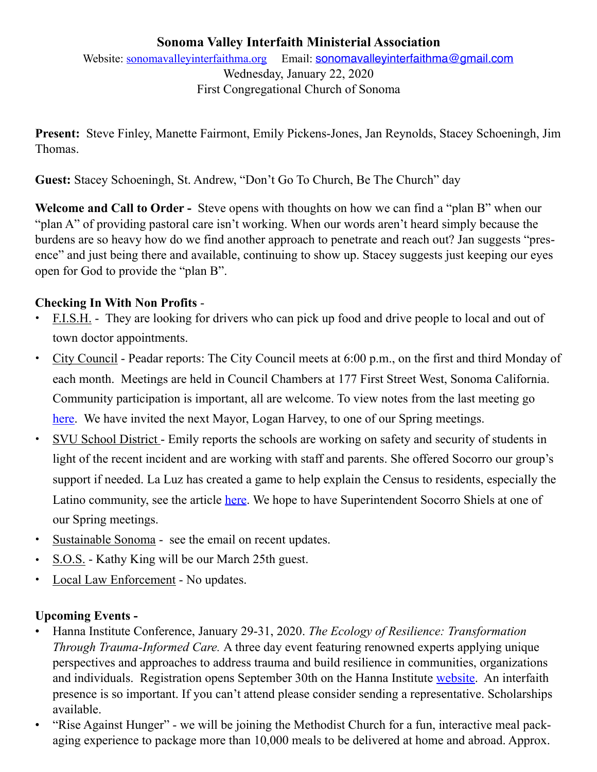# **Sonoma Valley Interfaith Ministerial Association**  Website: [sonomavalleyinterfaithma.org](http://sonomavalleyinterfaithma.org) Email: [sonomavalleyinterfaithma@gmail.com](mailto:sonomavalleyinterfaithma@gmail.com) Wednesday, January 22, 2020 First Congregational Church of Sonoma

**Present:** Steve Finley, Manette Fairmont, Emily Pickens-Jones, Jan Reynolds, Stacey Schoeningh, Jim Thomas.

**Guest:** Stacey Schoeningh, St. Andrew, "Don't Go To Church, Be The Church" day

**Welcome and Call to Order -** Steve opens with thoughts on how we can find a "plan B" when our "plan A" of providing pastoral care isn't working. When our words aren't heard simply because the burdens are so heavy how do we find another approach to penetrate and reach out? Jan suggests "presence" and just being there and available, continuing to show up. Stacey suggests just keeping our eyes open for God to provide the "plan B".

## **Checking In With Non Profits** -

- **•** F.I.S.H. They are looking for drivers who can pick up food and drive people to local and out of town doctor appointments.
- **•** City Council Peadar reports: The City Council meets at 6:00 p.m., on the first and third Monday of each month. Meetings are held in Council Chambers at 177 First Street West, Sonoma California. Community participation is important, all are welcome. To view notes from the last meeting go [here](https://www.sonomacity.org/departments/city-council/). We have invited the next Mayor, Logan Harvey, to one of our Spring meetings.
- SVU School District Emily reports the schools are working on safety and security of students in light of the recent incident and are working with staff and parents. She offered Socorro our group's support if needed. La Luz has created a game to help explain the Census to residents, especially the Latino community, see the article [here](https://www.sonomanews.com/news/10488360-181/census-game-being-piloting-in?sba=AAS). We hope to have Superintendent Socorro Shiels at one of our Spring meetings.
- Sustainable Sonoma see the email on recent updates.
- **•** S.O.S. Kathy King will be our March 25th guest.
- **•** Local Law Enforcement No updates.

## **Upcoming Events -**

- Hanna Institute Conference, January 29-31, 2020. *The Ecology of Resilience: Transformation Through Trauma-Informed Care.* A three day event featuring renowned experts applying unique perspectives and approaches to address trauma and build resilience in communities, organizations and individuals. Registration opens September 30th on the Hanna Institute [website](https://www.hannainstitute.org/event/the-ecology-of-resilience-transformation-through-trauma-informed-care/). An interfaith presence is so important. If you can't attend please consider sending a representative. Scholarships available.
- "Rise Against Hunger" we will be joining the Methodist Church for a fun, interactive meal packaging experience to package more than 10,000 meals to be delivered at home and abroad. Approx.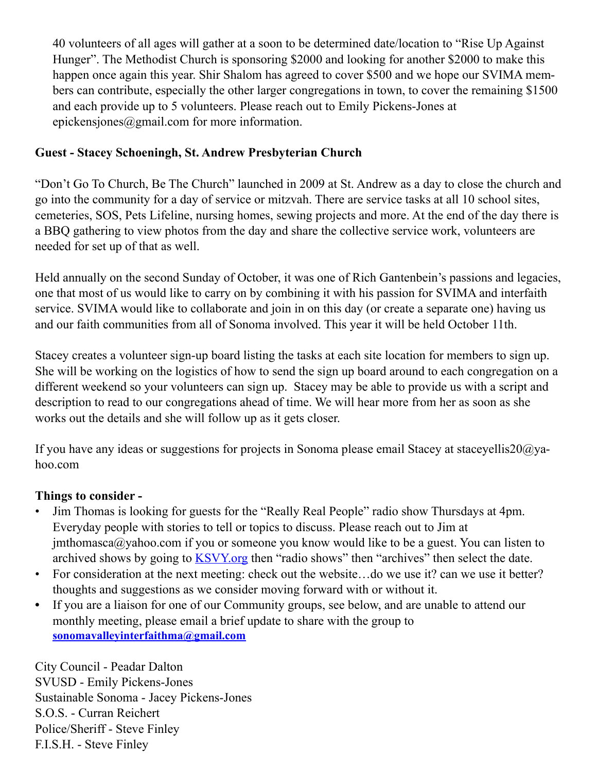40 volunteers of all ages will gather at a soon to be determined date/location to "Rise Up Against Hunger". The Methodist Church is sponsoring \$2000 and looking for another \$2000 to make this happen once again this year. Shir Shalom has agreed to cover \$500 and we hope our SVIMA members can contribute, especially the other larger congregations in town, to cover the remaining \$1500 and each provide up to 5 volunteers. Please reach out to Emily Pickens-Jones at epickensjones@gmail.com for more information.

### **Guest - Stacey Schoeningh, St. Andrew Presbyterian Church**

"Don't Go To Church, Be The Church" launched in 2009 at St. Andrew as a day to close the church and go into the community for a day of service or mitzvah. There are service tasks at all 10 school sites, cemeteries, SOS, Pets Lifeline, nursing homes, sewing projects and more. At the end of the day there is a BBQ gathering to view photos from the day and share the collective service work, volunteers are needed for set up of that as well.

Held annually on the second Sunday of October, it was one of Rich Gantenbein's passions and legacies, one that most of us would like to carry on by combining it with his passion for SVIMA and interfaith service. SVIMA would like to collaborate and join in on this day (or create a separate one) having us and our faith communities from all of Sonoma involved. This year it will be held October 11th.

Stacey creates a volunteer sign-up board listing the tasks at each site location for members to sign up. She will be working on the logistics of how to send the sign up board around to each congregation on a different weekend so your volunteers can sign up. Stacey may be able to provide us with a script and description to read to our congregations ahead of time. We will hear more from her as soon as she works out the details and she will follow up as it gets closer.

If you have any ideas or suggestions for projects in Sonoma please email Stacey at staceyellis20 $@$ yahoo.com

## **Things to consider -**

- Jim Thomas is looking for guests for the "Really Real People" radio show Thursdays at 4pm. Everyday people with stories to tell or topics to discuss. Please reach out to Jim at  $j$ mthomasca@yahoo.com if you or someone you know would like to be a guest. You can listen to archived shows by going to [KSVY.org](http://KSVY.org) then "radio shows" then "archives" then select the date.
- For consideration at the next meeting: check out the website...do we use it? can we use it better? thoughts and suggestions as we consider moving forward with or without it.
- **•** If you are a liaison for one of our Community groups, see below, and are unable to attend our monthly meeting, please email a brief update to share with the group to **[sonomavalleyinterfaithma@gmail.com](mailto:sonomavalleyinterfaithma@gmail.com)**

City Council - Peadar Dalton SVUSD - Emily Pickens-Jones Sustainable Sonoma - Jacey Pickens-Jones S.O.S. - Curran Reichert Police/Sheriff - Steve Finley F.I.S.H. - Steve Finley